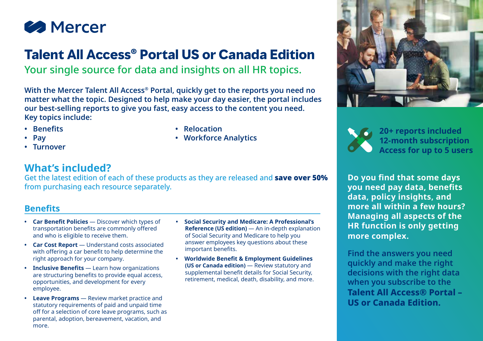

# **Talent All Access® Portal US or Canada Edition**

Your single source for data and insights on all HR topics.

**With the Mercer Talent All Access® Portal, quickly get to the reports you need no matter what the topic. Designed to help make your day easier, the portal includes our best-selling reports to give you fast, easy access to the content you need. Key topics include:**

**• Relocation**

**• Workforce Analytics**

- **• Benefits**
- **• Pay**
- **• Turnover**

### **What's included?**

Get the latest edition of each of these products as they are released and **save over 50%** from purchasing each resource separately.

#### **Benefits**

- **• Car Benefit Policies** Discover which types of transportation benefits are commonly offered and who is eligible to receive them.
- **• Car Cost Report**  Understand costs associated with offering a car benefit to help determine the right approach for your company.
- **• Inclusive Benefits** Learn how organizations are structuring benefits to provide equal access, opportunities, and development for every employee.
- **• Leave Programs**  Review market practice and statutory requirements of paid and unpaid time off for a selection of core leave programs, such as parental, adoption, bereavement, vacation, and more.
- **• Social Security and Medicare: A Professional's Reference (US edition)** — An in-depth explanation of Social Security and Medicare to help you answer employees key questions about these important benefits.
- **• Worldwide Benefit & Employment Guidelines (US or Canada edition)** — Review statutory and supplemental benefit details for Social Security, retirement, medical, death, disability, and more.





**20+ reports included 12-month subscription Access for up to 5 users**

**Do you find that some days you need pay data, benefits data, policy insights, and more all within a few hours? Managing all aspects of the HR function is only getting more complex.**

**Find the answers you need quickly and make the right decisions with the right data when you subscribe to the Talent All Access® Portal – US or Canada Edition.**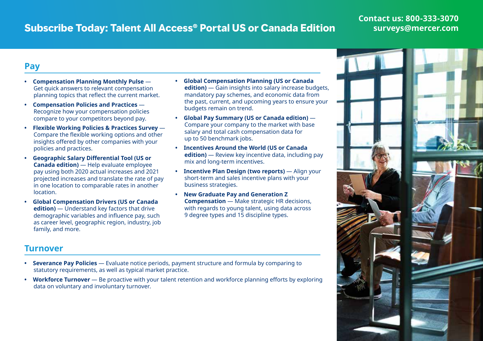# **Subscribe Today: Talent All Access® Portal US or Canada Edition**

#### **Contact us: 800-333-3070 [surveys@mercer.com](mailto:surveys%40mercer.com?subject=)**

#### **Pay**

- **• Compensation Planning Monthly Pulse** Get quick answers to relevant compensation planning topics that reflect the current market.
- **• Compensation Policies and Practices** Recognize how your compensation policies compare to your competitors beyond pay.
- **• Flexible Working Policies & Practices Survey** Compare the flexible working options and other insights offered by other companies with your policies and practices.
- **• Geographic Salary Differential Tool (US or Canada edition)** — Help evaluate employee pay using both 2020 actual increases and 2021 projected increases and translate the rate of pay in one location to comparable rates in another location.
- **• Global Compensation Drivers (US or Canada edition)** — Understand key factors that drive demographic variables and influence pay, such as career level, geographic region, industry, job family, and more.
- **• Global Compensation Planning (US or Canada edition)** — Gain insights into salary increase budgets, mandatory pay schemes, and economic data from the past, current, and upcoming years to ensure your budgets remain on trend.
- **• Global Pay Summary (US or Canada edition)** Compare your company to the market with base salary and total cash compensation data for up to 50 benchmark jobs.
- **• Incentives Around the World (US or Canada edition)** — Review key incentive data, including pay mix and long-term incentives.
- **• Incentive Plan Design (two reports)** Align your short-term and sales incentive plans with your business strategies.
- **• New Graduate Pay and Generation Z Compensation** — Make strategic HR decisions, with regards to young talent, using data across 9 degree types and 15 discipline types.

#### **Turnover**

- **• Severance Pay Policies** Evaluate notice periods, payment structure and formula by comparing to statutory requirements, as well as typical market practice.
- **• Workforce Turnover** Be proactive with your talent retention and workforce planning efforts by exploring data on voluntary and involuntary turnover.